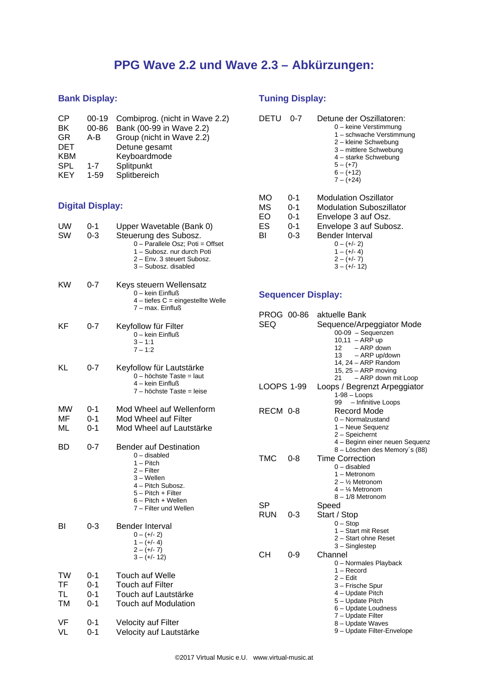# **PPG Wave 2.2 und Wave 2.3 – Abkürzungen:**

### **Bank Display:**

| <b>CP</b>  |          | 00-19 Combiprog. (nicht in Wave 2.2) |
|------------|----------|--------------------------------------|
| BK         | 00-86    | Bank (00-99 in Wave 2.2)             |
| GR.        | A-B      | Group (nicht in Wave 2.2)            |
| <b>DET</b> |          | Detune gesamt                        |
| KBM        |          | Keyboardmode                         |
| <b>SPL</b> | $1 - 7$  | Splitpunkt                           |
| <b>KEY</b> | $1 - 59$ | Splitbereich                         |

#### **Digital Display:**

| UW<br>SW                    | 0-1<br>0-3                       | Upper Wavetable (Bank 0)<br>Steuerung des Subosz.<br>0 - Parallele Osz; Poti = Offset<br>1 - Subosz. nur durch Poti<br>2 – Env. 3 steuert Subosz.<br>3 - Subosz. disabled        |
|-----------------------------|----------------------------------|----------------------------------------------------------------------------------------------------------------------------------------------------------------------------------|
| ΚW                          | 0-7                              | Keys steuern Wellensatz<br>0 - kein Einfluß<br>4 - tiefes C = eingestellte Welle<br>7 - max. Einfluß                                                                             |
| ΚF                          | 0-7                              | Keyfollow für Filter<br>0 - kein Einfluß<br>$3 - 1:1$<br>$7 - 1:2$                                                                                                               |
| KL                          | $0 - 7$                          | Keyfollow für Lautstärke<br>0 - höchste Taste = laut<br>4 – kein Einfluß<br>7 - höchste Taste = leise                                                                            |
| МW<br>MF<br>ML              | 0-1<br>$0 - 1$<br>0-1            | Mod Wheel auf Wellenform<br>Mod Wheel auf Filter<br>Mod Wheel auf Lautstärke                                                                                                     |
| BD                          | $0 - 7$                          | <b>Bender auf Destination</b><br>0 - disabled<br>1 - Pitch<br>2 – Filter<br>3 – Wellen<br>4 – Pitch Subosz.<br>5 – Pitch + Filter<br>6 - Pitch + Wellen<br>7 - Filter und Wellen |
| BI                          | 0-3                              | Bender Interval<br>$0 - (+/- 2)$<br>$1 - (+/- 4)$<br>$2 - (+/- 7)$<br>$3 - (+/- 12)$                                                                                             |
| TW<br>TF<br><b>TL</b><br>ТM | 0-1<br>$0 - 1$<br>0-1<br>$0 - 1$ | Touch auf Welle<br><b>Touch auf Filter</b><br>Touch auf Lautstärke<br><b>Touch auf Modulation</b>                                                                                |
| VF<br>VL                    | 0-1<br>0-1                       | <b>Velocity auf Filter</b><br>Velocity auf Lautstärke                                                                                                                            |

## **Tuning Display:**

| DETU                       | በ-7                                 | Detune der Oszillatoren:<br>0 – keine Verstimmung<br>1 – schwache Verstimmung<br>2 – kleine Schwebung<br>3 – mittlere Schwebung<br>4 – starke Schwebung<br>$5 - (+7)$<br>$6 - (+12)$<br>$7 - (+24)$ |
|----------------------------|-------------------------------------|-----------------------------------------------------------------------------------------------------------------------------------------------------------------------------------------------------|
| MO<br>МS<br>EΟ<br>ES<br>BI | 0-1<br>0-1<br>$0 - 1$<br>0-1<br>0-3 | Modulation Oszillator<br>Modulation Suboszillator<br>Envelope 3 auf Osz.<br>Envelope 3 auf Subosz.<br>Bender Interval<br>$0 - (+/- 2)$<br>$1 - (+/- 4)$<br>$2 - (+/- 7)$<br>$3 - (+/- 12)$          |

### **Sequencer Display:**

| PROG 00-86        |         | aktuelle Bank                  |
|-------------------|---------|--------------------------------|
| SEQ               |         | Sequence/Arpeggiator Mode      |
|                   |         | 00-09 - Sequenzen              |
|                   |         | $10,11 - ARP$ up               |
|                   |         | - ARP down<br>12               |
|                   |         | - ARP up/down<br>13            |
|                   |         | 14, 24 - ARP Random            |
|                   |         | 15, $25 - ARP$ moving          |
|                   |         | 21<br>- ARP down mit Loop      |
| <b>LOOPS 1-99</b> |         | Loops / Begrenzt Arpeggiator   |
|                   |         | $1-98 - Loops$                 |
|                   |         | - Infinitive Loops<br>99       |
| RECM 0-8          |         | Record Mode                    |
|                   |         | 0 - Normalzustand              |
|                   |         | 1 - Neue Sequenz               |
|                   |         | 2 - Speichernt                 |
|                   |         | 4 - Beginn einer neuen Sequenz |
|                   |         | 8 – Löschen des Memory's (88)  |
| TMC               | 0-8     | <b>Time Correction</b>         |
|                   |         | 0 – disabled                   |
|                   |         | 1 - Metronom                   |
|                   |         | 2 – ½ Metronom                 |
|                   |         | 4 – ¼ Metronom                 |
|                   |         | 8 - 1/8 Metronom               |
| SP                |         | Speed                          |
| <b>RUN</b>        | 0-3     | Start / Stop                   |
|                   |         | $0 - Stop$                     |
|                   |         | 1 - Start mit Reset            |
|                   |         | 2 - Start ohne Reset           |
|                   |         | 3 - Singlestep                 |
| CН                | $0 - 9$ | Channel                        |
|                   |         | 0 - Normales Playback          |
|                   |         | 1 – Record                     |
|                   |         | 2 - Edit                       |
|                   |         | 3 – Frische Spur               |
|                   |         | 4 - Update Pitch               |
|                   |         | 5 - Update Pitch               |
|                   |         | 6 - Update Loudness            |
|                   |         | 7 - Update Filter              |
|                   |         | 8 - Update Waves               |
|                   |         | 9 - Update Filter-Envelope     |
|                   |         |                                |